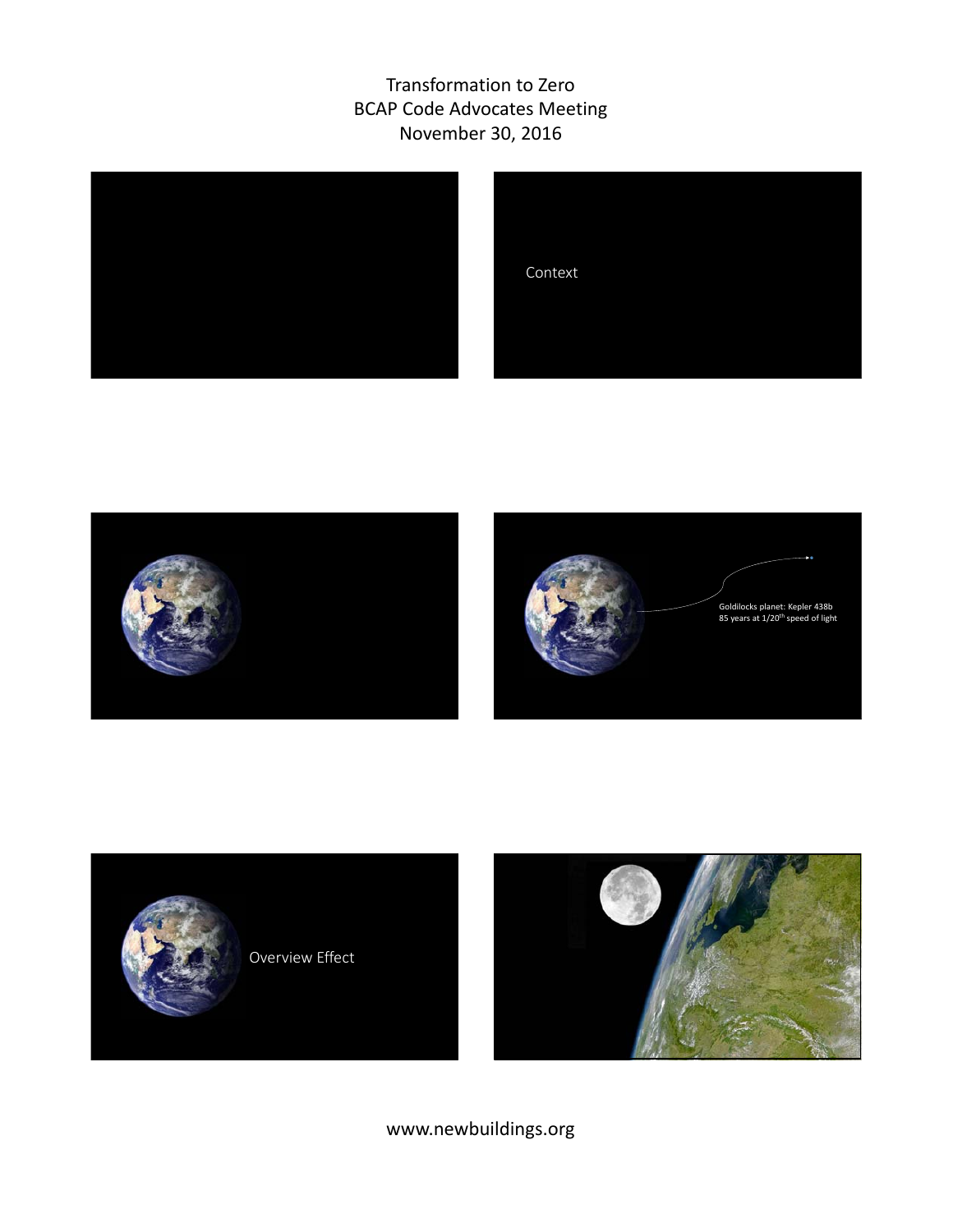







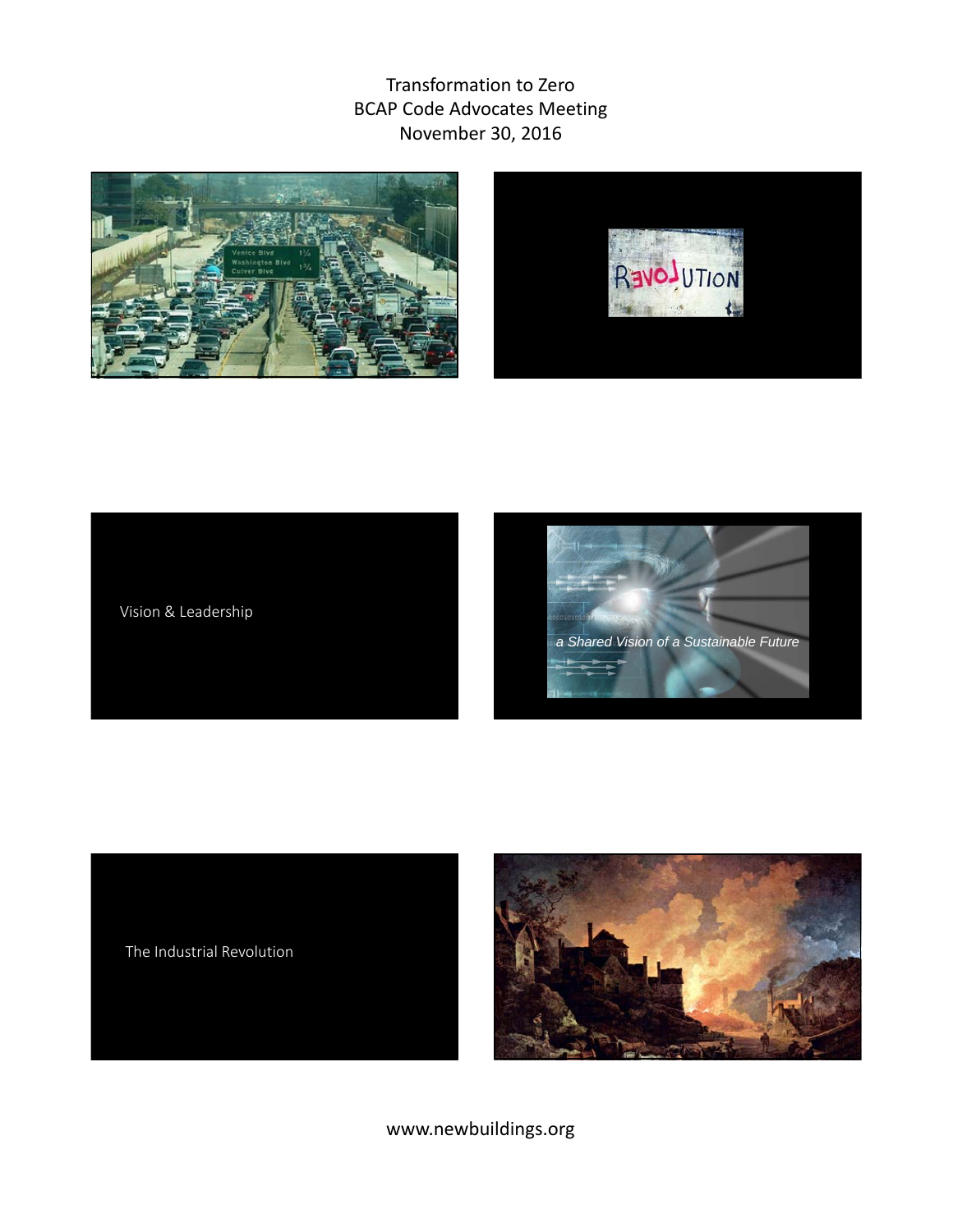









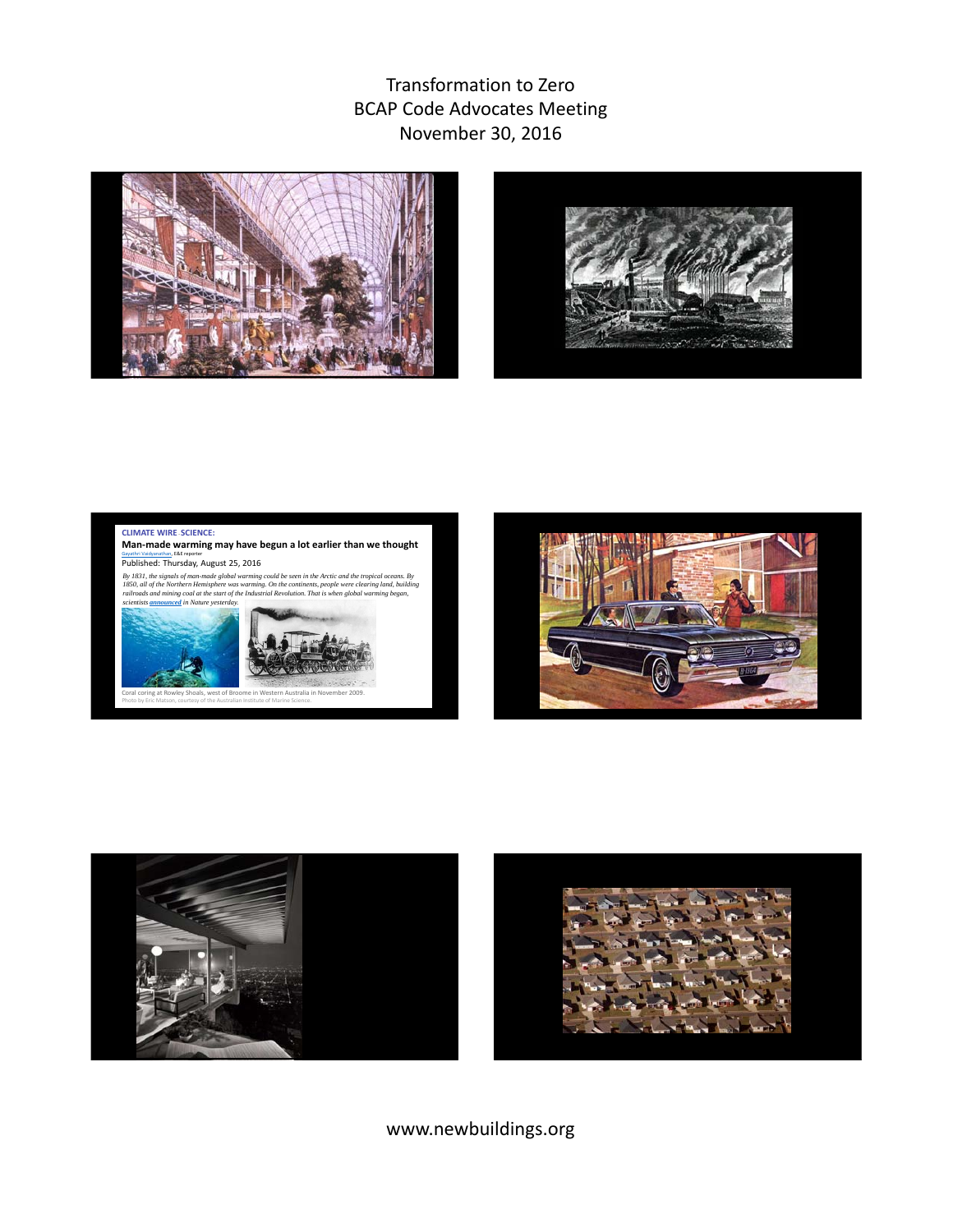







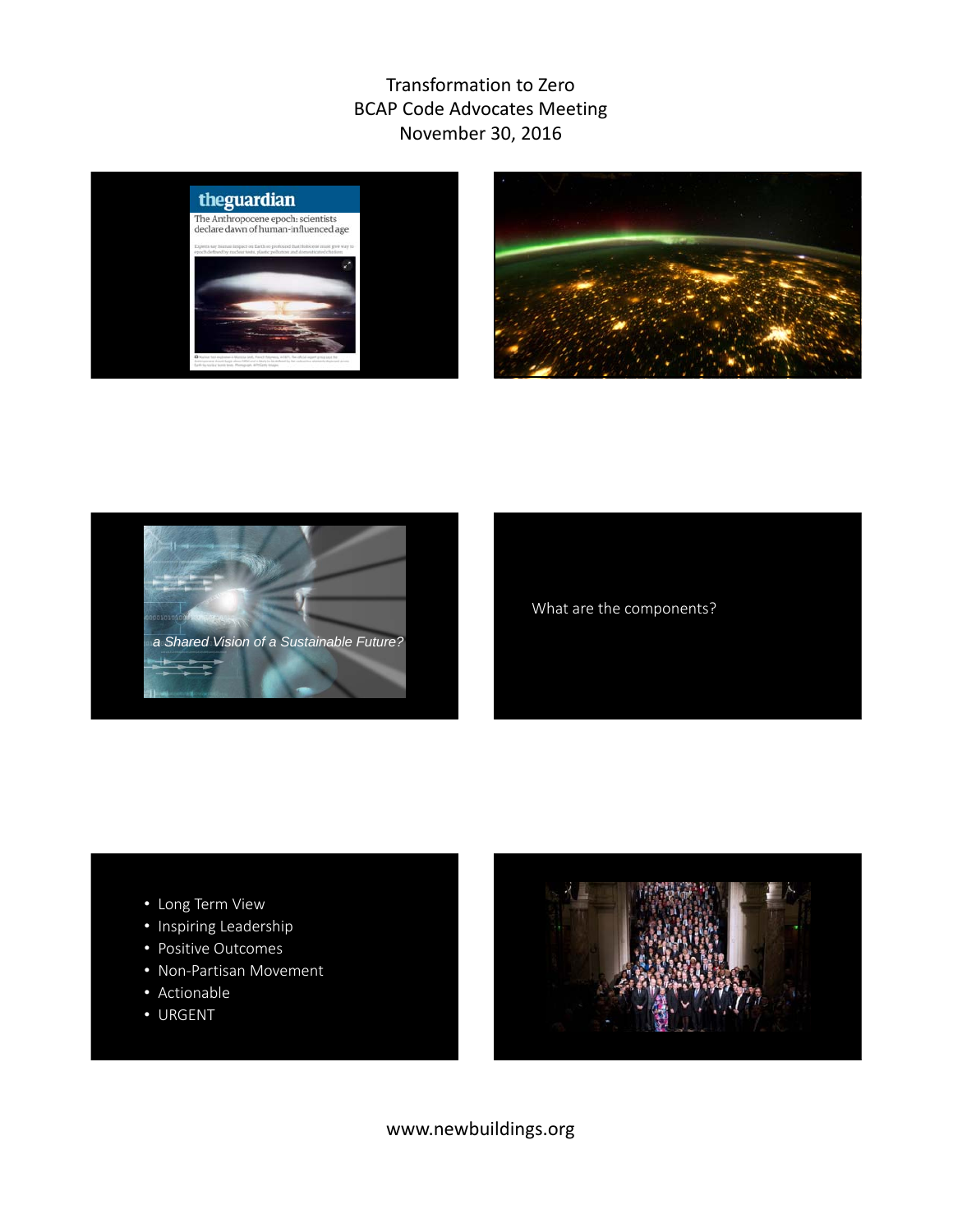







- Long Term View
- Inspiring Leadership
- Positive Outcomes
- Non‐Partisan Movement
- Actionable
- URGENT

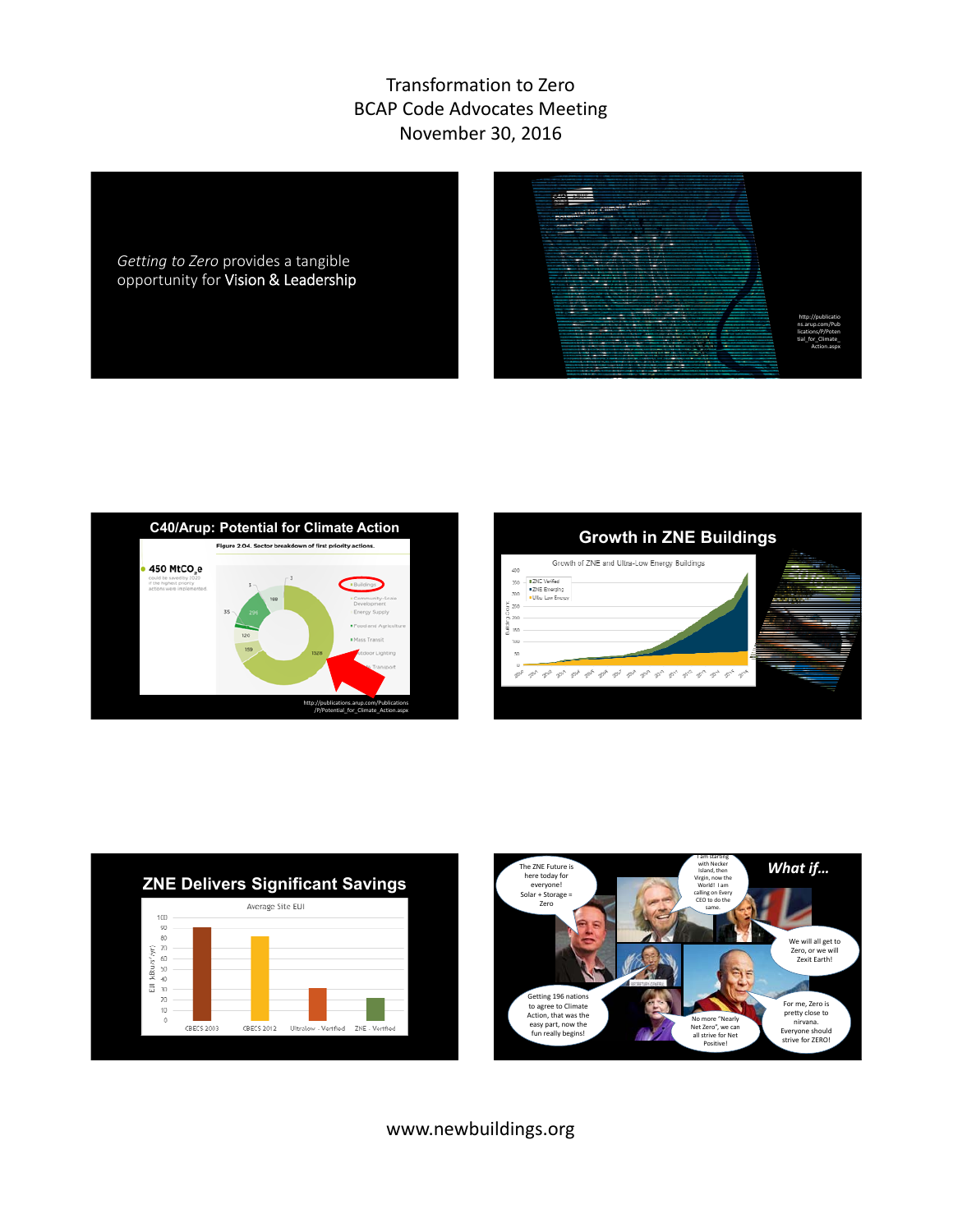*Getting to Zero* provides a tangible opportunity for Vision & Leadership









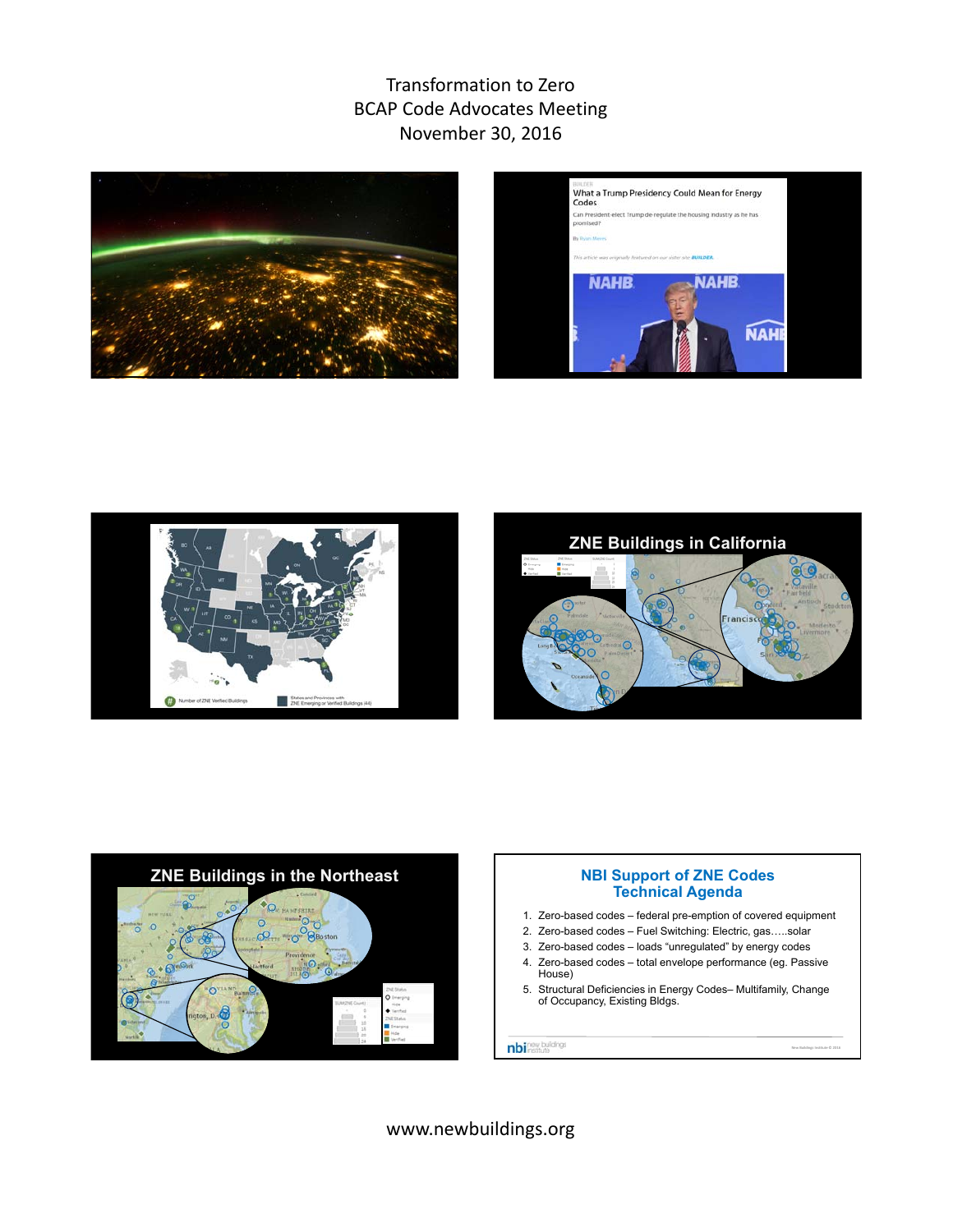

| BUILDER<br>What a Trump Presidency Could Mean for Energy<br>Codes                                             |
|---------------------------------------------------------------------------------------------------------------|
| Can President-elect Trump de-regulate the housing industry as he has<br>promised?                             |
| <b>By Ryan Merres</b>                                                                                         |
| This article was originally featured on our sister site BUILDER.<br><b>NAHB</b><br><b>NAHB</b><br><b>NAHE</b> |